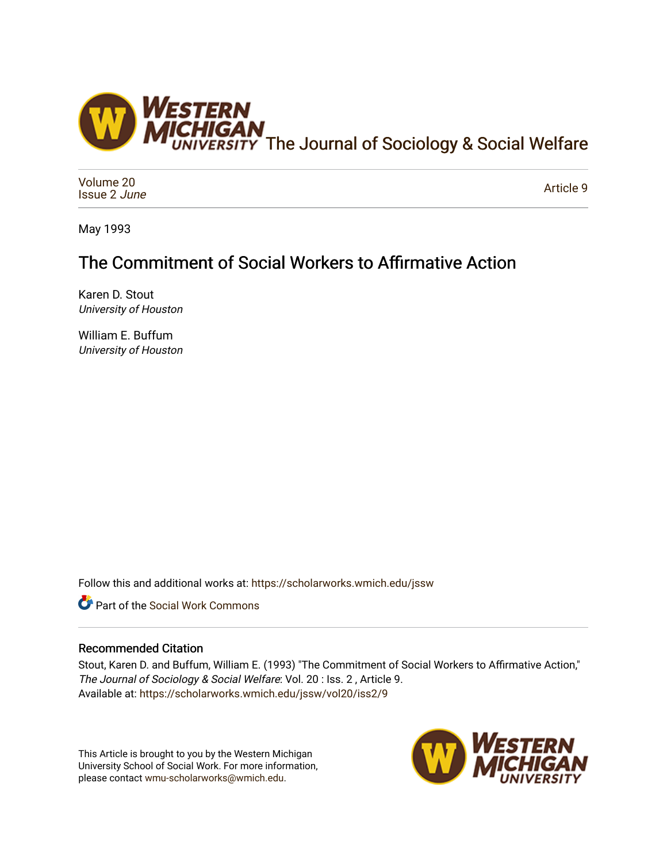

[Volume 20](https://scholarworks.wmich.edu/jssw/vol20) [Issue 2](https://scholarworks.wmich.edu/jssw/vol20/iss2) June

[Article 9](https://scholarworks.wmich.edu/jssw/vol20/iss2/9) 

May 1993

# The Commitment of Social Workers to Affirmative Action

Karen D. Stout University of Houston

William E. Buffum University of Houston

Follow this and additional works at: [https://scholarworks.wmich.edu/jssw](https://scholarworks.wmich.edu/jssw?utm_source=scholarworks.wmich.edu%2Fjssw%2Fvol20%2Fiss2%2F9&utm_medium=PDF&utm_campaign=PDFCoverPages) 

Part of the [Social Work Commons](http://network.bepress.com/hgg/discipline/713?utm_source=scholarworks.wmich.edu%2Fjssw%2Fvol20%2Fiss2%2F9&utm_medium=PDF&utm_campaign=PDFCoverPages)

## Recommended Citation

Stout, Karen D. and Buffum, William E. (1993) "The Commitment of Social Workers to Affirmative Action," The Journal of Sociology & Social Welfare: Vol. 20 : Iss. 2 , Article 9. Available at: [https://scholarworks.wmich.edu/jssw/vol20/iss2/9](https://scholarworks.wmich.edu/jssw/vol20/iss2/9?utm_source=scholarworks.wmich.edu%2Fjssw%2Fvol20%2Fiss2%2F9&utm_medium=PDF&utm_campaign=PDFCoverPages)

This Article is brought to you by the Western Michigan University School of Social Work. For more information, please contact [wmu-scholarworks@wmich.edu.](mailto:wmu-scholarworks@wmich.edu)

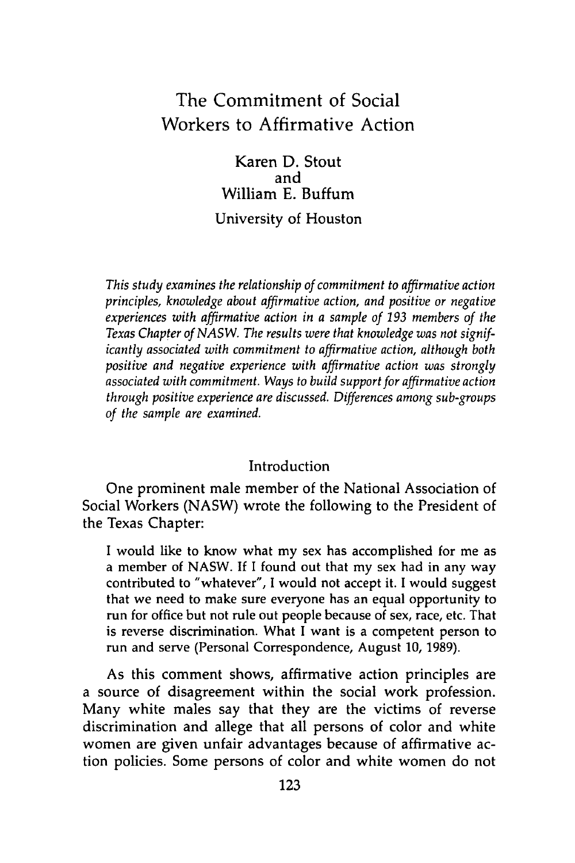## The Commitment of Social Workers to Affirmative Action

Karen **D.** Stout and William **E.** Buffum University of Houston

*This study examines the relationship of commitment to affirmative action principles, knowledge about affirmative action, and positive or negative experiences with affirmative action in a sample of 193 members of the Texas Chapter of NASW. The results were that knowledge was not significantly associated with commitment to affirmative action, although both positive and negative experience with affirmative action was strongly associated with commitment. Ways to build support for affirmative action through positive experience are discussed. Differences among sub-groups of the sample are examined.*

### Introduction

One prominent male member of the National Association of Social Workers (NASW) wrote the following to the President of the Texas Chapter:

I would like to know what my sex has accomplished for me as a member of NASW. If I found out that my sex had in any way contributed to "whatever", I would not accept it. I would suggest that we need to make sure everyone has an equal opportunity to run for office but not rule out people because of sex, race, etc. That is reverse discrimination. What I want is a competent person to run and serve (Personal Correspondence, August 10, 1989).

As this comment shows, affirmative action principles are a source of disagreement within the social work profession. Many white males say that they are the victims of reverse discrimination and allege that all persons of color and white women are given unfair advantages because of affirmative action policies. Some persons of color and white women do not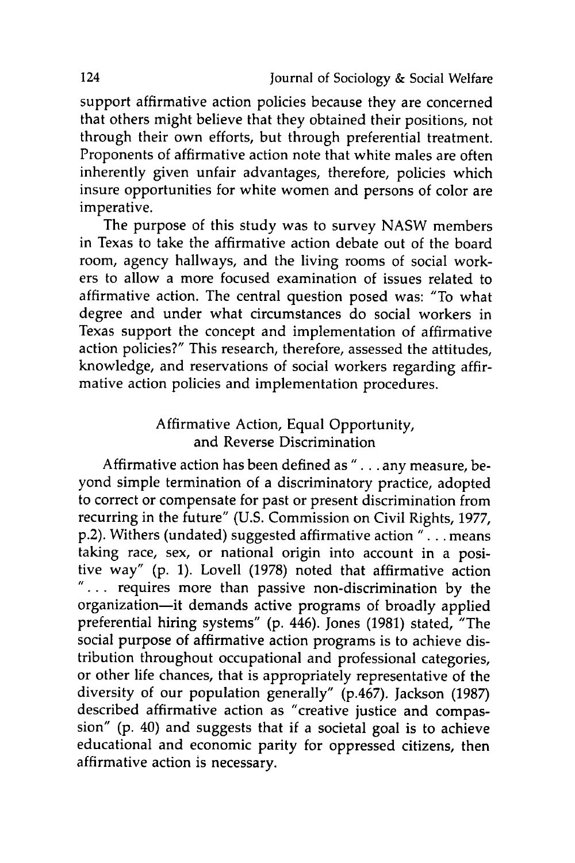support affirmative action policies because they are concerned that others might believe that they obtained their positions, not through their own efforts, but through preferential treatment. Proponents of affirmative action note that white males are often inherently given unfair advantages, therefore, policies which insure opportunities for white women and persons of color are imperative.

The purpose of this study was to survey NASW members in Texas to take the affirmative action debate out of the board room, agency hallways, and the living rooms of social workers to allow a more focused examination of issues related to affirmative action. The central question posed was: "To what degree and under what circumstances do social workers in Texas support the concept and implementation of affirmative action policies?" This research, therefore, assessed the attitudes, knowledge, and reservations of social workers regarding affirmative action policies and implementation procedures.

## Affirmative Action, Equal Opportunity, and Reverse Discrimination

Affirmative action has been defined as ". **.** .any measure, beyond simple termination of a discriminatory practice, adopted to correct or compensate for past or present discrimination from recurring in the future" (U.S. Commission on Civil Rights, 1977, p.2). Withers (undated) suggested affirmative action ". **.** .means taking race, sex, or national origin into account in a positive way" (p. 1). Lovell (1978) noted that affirmative action ".... requires more than passive non-discrimination by the organization-it demands active programs of broadly applied preferential hiring systems" (p. 446). Jones (1981) stated, "The social purpose of affirmative action programs is to achieve distribution throughout occupational and professional categories, or other life chances, that is appropriately representative of the diversity of our population generally" (p.467). Jackson (1987) described affirmative action as "creative justice and compassion" (p. 40) and suggests that if a societal goal is to achieve educational and economic parity for oppressed citizens, then affirmative action is necessary.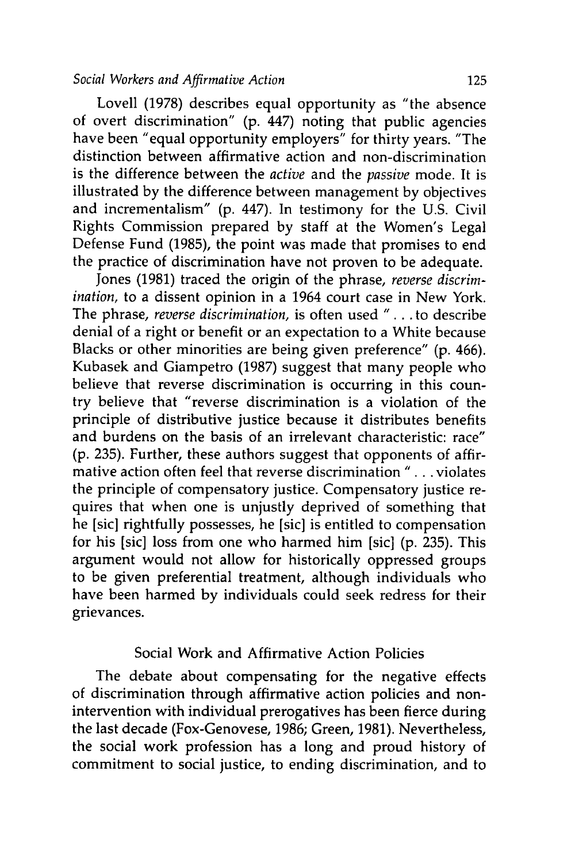#### *Social Workers and Affirmative Action* 125

Lovell (1978) describes equal opportunity as "the absence of overt discrimination" **(p.** 447) noting that public agencies have been "equal opportunity employers" for thirty years. "The distinction between affirmative action and non-discrimination is the difference between the *active* and the *passive* mode. It is illustrated **by** the difference between management **by** objectives and incrementalism" **(p.** 447). In testimony for the **U.S.** Civil Rights Commission prepared **by** staff at the Women's Legal Defense Fund **(1985),** the point was made that promises to end the practice of discrimination have not proven to be adequate.

Jones **(1981)** traced the origin of the phrase, *reverse discrimination,* to a dissent opinion in a 1964 court case in New York. The phrase, *reverse discrimination,* is often used " **. . .**to describe denial of a right or benefit or an expectation to a White because Blacks or other minorities are being given preference" **(p.** 466). Kubasek and Giampetro **(1987)** suggest that many people who believe that reverse discrimination is occurring in this country believe that "reverse discrimination is a violation of the principle of distributive justice because it distributes benefits and burdens on the basis of an irrelevant characteristic: race" **(p. 235).** Further, these authors suggest that opponents of affirmative action often feel that reverse discrimination **" . ..** violates the principle of compensatory justice. Compensatory justice requires that when one is unjustly deprived of something that he [sic] rightfully possesses, he [sic] is entitled to compensation for his [sic] loss from one who harmed him [sic] **(p. 235).** This argument would not allow for historically oppressed groups to be given preferential treatment, although individuals who have been harmed **by** individuals could seek redress for their grievances.

### Social Work and Affirmative Action Policies

The debate about compensating for the negative effects of discrimination through affirmative action policies and nonintervention with individual prerogatives has been fierce during the last decade (Fox-Genovese, 1986; Green, 1981). Nevertheless, the social work profession has a long and proud history of commitment to social justice, to ending discrimination, and to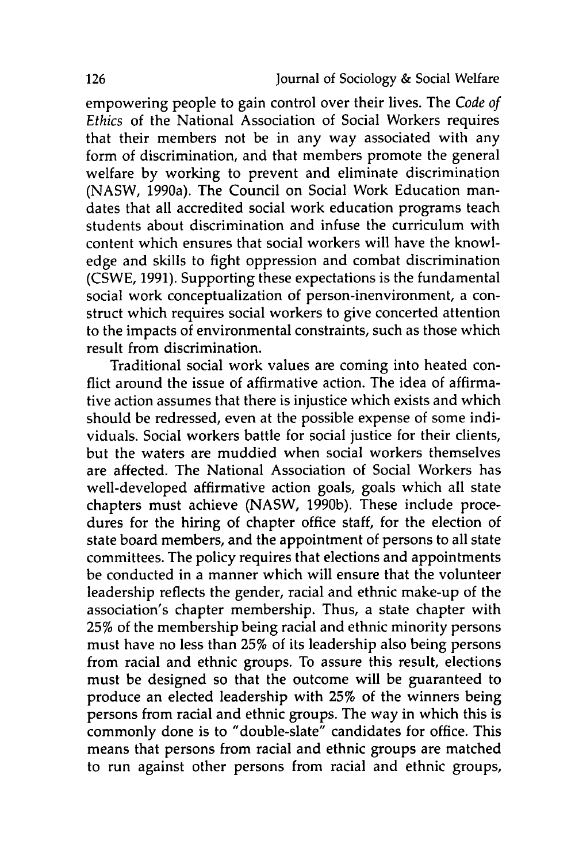empowering people to gain control over their lives. The *Code of Ethics* of the National Association of Social Workers requires that their members not be in any way associated with any form of discrimination, and that members promote the general welfare by working to prevent and eliminate discrimination (NASW, 1990a). The Council on Social Work Education mandates that all accredited social work education programs teach students about discrimination and infuse the curriculum with content which ensures that social workers will have the knowledge and skills to fight oppression and combat discrimination (CSWE, 1991). Supporting these expectations is the fundamental social work conceptualization of person-inenvironment, a construct which requires social workers to give concerted attention to the impacts of environmental constraints, such as those which result from discrimination.

Traditional social work values are coming into heated conflict around the issue of affirmative action. The idea of affirmative action assumes that there is injustice which exists and which should be redressed, even at the possible expense of some individuals. Social workers battle for social justice for their clients, but the waters are muddied when social workers themselves are affected. The National Association of Social Workers has well-developed affirmative action goals, goals which all state chapters must achieve (NASW, 1990b). These include procedures for the hiring of chapter office staff, for the election of state board members, and the appointment of persons to all state committees. The policy requires that elections and appointments be conducted in a manner which will ensure that the volunteer leadership reflects the gender, racial and ethnic make-up of the association's chapter membership. Thus, a state chapter with **25%** of the membership being racial and ethnic minority persons must have no less than **25%** of its leadership also being persons from racial and ethnic groups. To assure this result, elections must be designed so that the outcome will be guaranteed to produce an elected leadership with **25%** of the winners being persons from racial and ethnic groups. The way in which this is commonly done is to "double-slate" candidates for office. This means that persons from racial and ethnic groups are matched to run against other persons from racial and ethnic groups,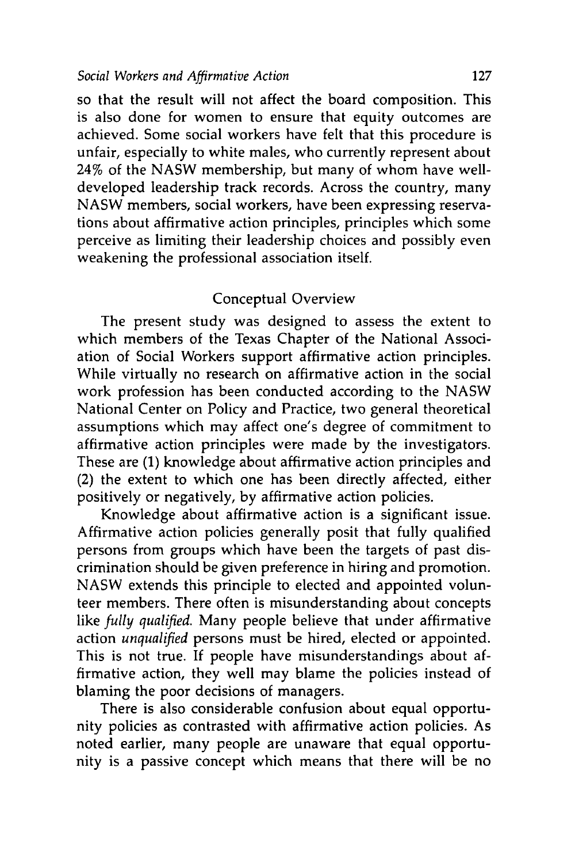so that the result will not affect the board composition. This is also done for women to ensure that equity outcomes are achieved. Some social workers have felt that this procedure is unfair, especially to white males, who currently represent about 24% of the NASW membership, but many of whom have welldeveloped leadership track records. Across the country, many NASW members, social workers, have been expressing reservations about affirmative action principles, principles which some perceive as limiting their leadership choices and possibly even weakening the professional association itself.

## Conceptual Overview

The present study was designed to assess the extent to which members of the Texas Chapter of the National Association of Social Workers support affirmative action principles. While virtually no research on affirmative action in the social work profession has been conducted according to the NASW National Center on Policy and Practice, two general theoretical assumptions which may affect one's degree of commitment to affirmative action principles were made by the investigators. These are (1) knowledge about affirmative action principles and (2) the extent to which one has been directly affected, either positively or negatively, by affirmative action policies.

Knowledge about affirmative action is a significant issue. Affirmative action policies generally posit that fully qualified persons from groups which have been the targets of past discrimination should be given preference in hiring and promotion. NASW extends this principle to elected and appointed volunteer members. There often is misunderstanding about concepts like *fully qualified.* Many people believe that under affirmative action *unqualified* persons must be hired, elected or appointed. This is not true. If people have misunderstandings about affirmative action, they well may blame the policies instead of blaming the poor decisions of managers.

There is also considerable confusion about equal opportunity policies as contrasted with affirmative action policies. As noted earlier, many people are unaware that equal opportunity is a passive concept which means that there will be no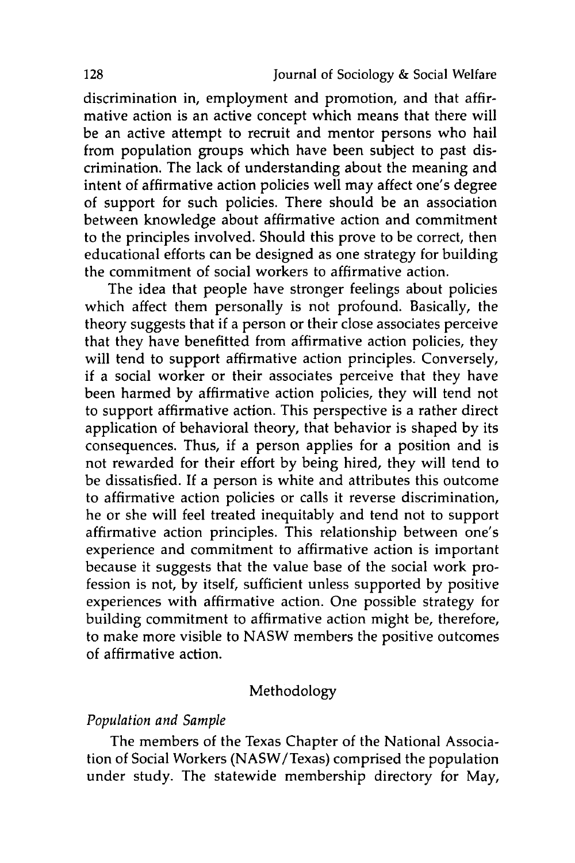discrimination in, employment and promotion, and that affirmative action is an active concept which means that there will be an active attempt to recruit and mentor persons who hail from population groups which have been subject to past discrimination. The lack of understanding about the meaning and intent of affirmative action policies well may affect one's degree of support for such policies. There should be an association between knowledge about affirmative action and commitment to the principles involved. Should this prove to be correct, then educational efforts can be designed as one strategy for building the commitment of social workers to affirmative action.

The idea that people have stronger feelings about policies which affect them personally is not profound. Basically, the theory suggests that if a person or their close associates perceive that they have benefitted from affirmative action policies, they will tend to support affirmative action principles. Conversely, if a social worker or their associates perceive that they have been harmed **by** affirmative action policies, they will tend not to support affirmative action. This perspective is a rather direct application of behavioral theory, that behavior is shaped **by** its consequences. Thus, if a person applies for a position and is not rewarded for their effort **by** being hired, they will tend to be dissatisfied. **If** a person is white and attributes this outcome to affirmative action policies or calls it reverse discrimination, he or she will feel treated inequitably and tend not to support affirmative action principles. This relationship between one's experience and commitment to affirmative action is important because it suggests that the value base of the social work profession is not, **by** itself, sufficient unless supported **by** positive experiences with affirmative action. One possible strategy for building commitment to affirmative action might be, therefore, to make more visible to **NASW** members the positive outcomes of affirmative action.

#### Methodology

#### *Population and Sample*

The members of the Texas Chapter of the National Association of Social Workers (NASW/Texas) comprised the population under study. The statewide membership directory for May,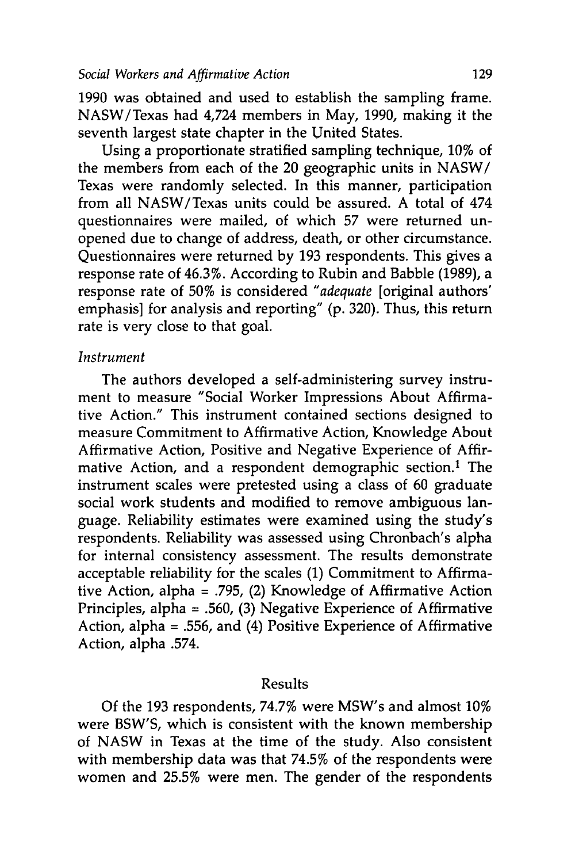**1990** was obtained and used to establish the sampling frame. NASW/Texas had 4,724 members in May, 1990, making it the seventh largest state chapter in the United States.

Using a proportionate stratified sampling technique, 10% of the members from each of the 20 geographic units in NASW/ Texas were randomly selected. In this manner, participation from all NASW/Texas units could be assured. A total of 474 questionnaires were mailed, of which 57 were returned unopened due to change of address, death, or other circumstance. Questionnaires were returned by 193 respondents. This gives a response rate of 46.3%. According to Rubin and Babble (1989), a response rate of 50% is considered *"adequate* [original authors' emphasis] for analysis and reporting" (p. 320). Thus, this return rate is very close to that goal.

## *Instrument*

The authors developed a self-administering survey instrument to measure "Social Worker Impressions About Affirmative Action." This instrument contained sections designed to measure Commitment to Affirmative Action, Knowledge About Affirmative Action, Positive and Negative Experience of Affirmative Action, and a respondent demographic section.<sup>1</sup> The instrument scales were pretested using a class of 60 graduate social work students and modified to remove ambiguous language. Reliability estimates were examined using the study's respondents. Reliability was assessed using Chronbach's alpha for internal consistency assessment. The results demonstrate acceptable reliability for the scales (1) Commitment to Affirmative Action, alpha = .795, (2) Knowledge of Affirmative Action Principles, alpha = .560, (3) Negative Experience of Affirmative Action, alpha = .556, and (4) Positive Experience of Affirmative Action, alpha .574.

#### Results

Of the 193 respondents, 74.7% were MSW's and almost 10% were BSW'S, which is consistent with the known membership of NASW in Texas at the time of the study. Also consistent with membership data was that 74.5% of the respondents were women and 25.5% were men. The gender of the respondents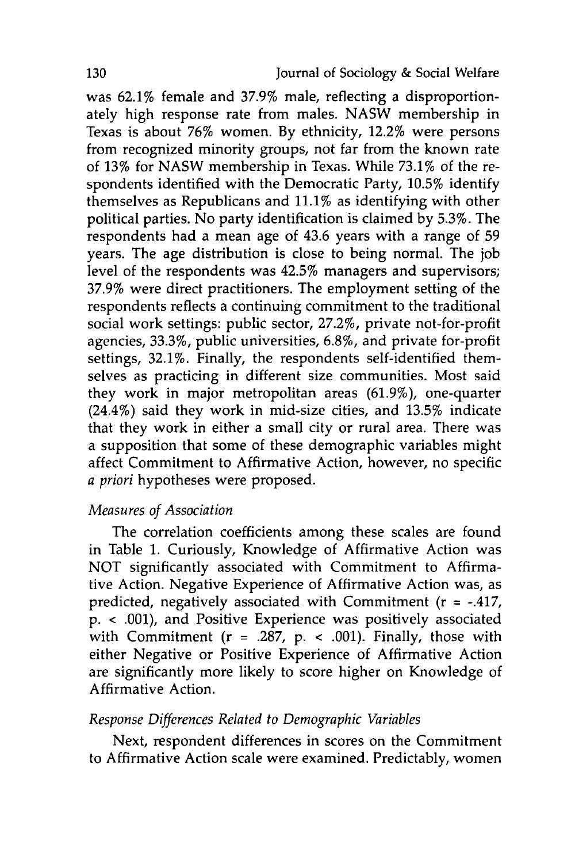was 62.1% female and **37.9%** male, reflecting a disproportionately high response rate from males. **NASW** membership in Texas is about **76%** women. **By** ethnicity, 12.2% were persons from recognized minority groups, not far from the known rate of **13%** for **NASW** membership in Texas. While **73.1%** of the respondents identified with the Democratic Party, **10.5%** identify themselves as Republicans and **11.1%** as identifying with other political parties. No party identification is claimed **by 5.3%.** The respondents had a mean age of 43.6 years with a range of **59** years. The age distribution is close to being normal. The **job** level of the respondents was 42.5% managers and supervisors; **37.9%** were direct practitioners. The employment setting of the respondents reflects a continuing commitment to the traditional social work settings: public sector, 27.2%, private not-for-profit agencies, **33.3%,** public universities, 6.8%, and private for-profit settings, 32.1%. Finally, the respondents self-identified themselves as practicing in different size communities. Most said they work in major metropolitan areas **(61.9%),** one-quarter (24.4%) said they work in mid-size cities, and **13.5%** indicate that they work in either a small city or rural area. There was a supposition that some of these demographic variables might affect Commitment to Affirmative Action, however, no specific *a priori* hypotheses were proposed.

### *Measures of Association*

The correlation coefficients among these scales are found in Table **1.** Curiously, Knowledge of Affirmative Action was **NOT** significantly associated with Commitment to Affirmative Action. Negative Experience of Affirmative Action was, as predicted, negatively associated with Commitment (r **=** -.417, **p. < .001),** and Positive Experience was positively associated with Commitment (r = **.287, p. < .001).** Finally, those with either Negative or Positive Experience of Affirmative Action are significantly more likely to score higher on Knowledge of Affirmative Action.

#### *Response Differences Related to Demographic Variables*

Next, respondent differences in scores on the Commitment to Affirmative Action scale were examined. Predictably, women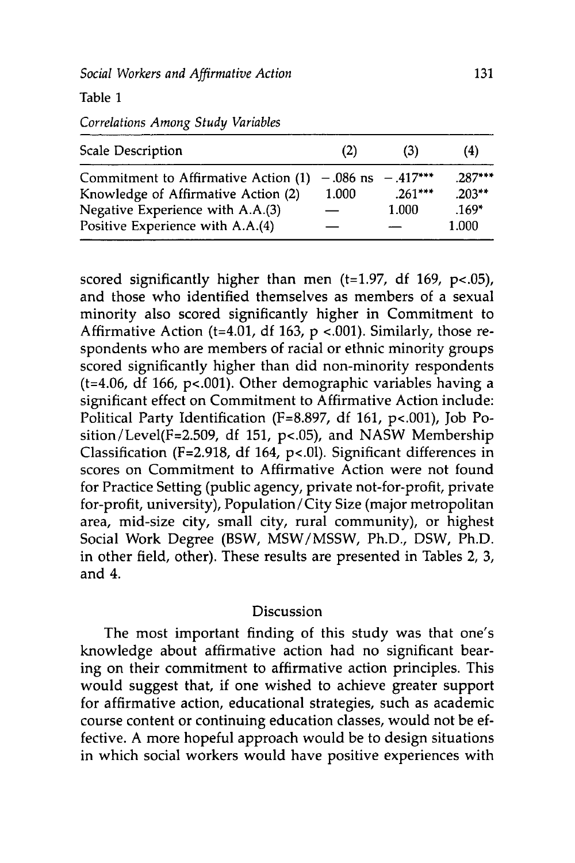Table **1**

*Correlations Among Study Variables*

| Scale Description                    | (2)        | (3)         | (4)      |
|--------------------------------------|------------|-------------|----------|
| Commitment to Affirmative Action (1) | $-.086$ ns | $-0.417***$ | $287***$ |
| Knowledge of Affirmative Action (2)  | 1.000      | $.261***$   | $.203**$ |
| Negative Experience with A.A.(3)     |            | 1.000       | $.169*$  |
| Positive Experience with A.A.(4)     |            |             | 1.000    |

scored significantly higher than men (t=1.97, df 169,  $p$ <.05), and those who identified themselves as members of a sexual minority also scored significantly higher in Commitment to Affirmative Action (t=4.01, df 163, p <.001). Similarly, those respondents who are members of racial or ethnic minority groups scored significantly higher than did non-minority respondents (t=4.06, df 166, p<.001). Other demographic variables having a significant effect on Commitment to Affirmative Action include: Political Party Identification (F=8.897, df 161, p<.001), Job Position/Level(F=2.509, df 151, p<.05), and NASW Membership Classification (F=2.918, df 164, **p<.01).** Significant differences in scores on Commitment to Affirmative Action were not found for Practice Setting (public agency, private not-for-profit, private for-profit, university), Population/City Size (major metropolitan area, mid-size city, small city, rural community), or highest Social Work Degree (BSW, MSW/MSSW, Ph.D., DSW, Ph.D. in other field, other). These results are presented in Tables 2, 3, and 4.

#### Discussion

The most important finding of this study was that one's knowledge about affirmative action had no significant bearing on their commitment to affirmative action principles. This would suggest that, if one wished to achieve greater support for affirmative action, educational strategies, such as academic course content or continuing education classes, would not be effective. A more hopeful approach would be to design situations in which social workers would have positive experiences with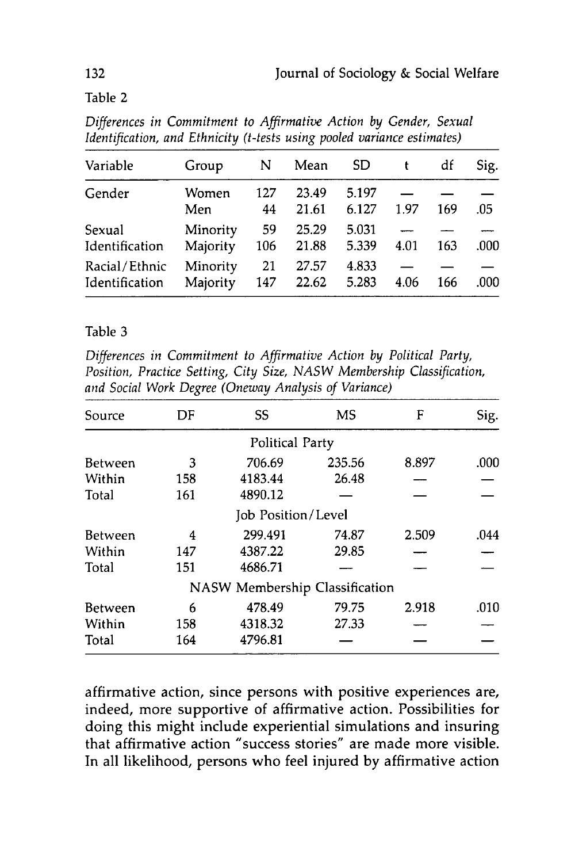Table 2

| Variable                        | Group                | N         | Mean           | SD.            |      | df  | Sig. |
|---------------------------------|----------------------|-----------|----------------|----------------|------|-----|------|
| Gender                          | Women<br>Men         | 127<br>44 | 23.49<br>21.61 | 5.197<br>6.127 | 1.97 | 169 | .05  |
| Sexual<br>Identification        | Minority<br>Majority | 59<br>106 | 25.29<br>21.88 | 5.031<br>5.339 | 4.01 | 163 | .000 |
| Racial/Ethnic<br>Identification | Minority<br>Majority | 21<br>147 | 27.57<br>22.62 | 4.833<br>5.283 | 4.06 | 166 | .000 |

*Differences in Commitment to Affirmative Action by Gender, Sexual Identification, and Ethnicity (t-tests using pooled variance estimates)*

#### Table 3

*Differences in Commitment to Affirmative Action by Political Party, Position, Practice Setting, City Size, NASW Membership Classification, and Social Work Degree (Oneway Analysis of Variance)*

| Source         | DF  | SS                                    | MS     | F     | Sig. |
|----------------|-----|---------------------------------------|--------|-------|------|
|                |     | <b>Political Party</b>                |        |       |      |
| Between        | 3   | 706.69                                | 235.56 | 8.897 | .000 |
| Within         | 158 | 4183.44                               | 26.48  |       |      |
| Total          | 161 | 4890.12                               |        |       |      |
|                |     | Job Position/Level                    |        |       |      |
| <b>Between</b> | 4   | 299.491                               | 74.87  | 2.509 | .044 |
| Within         | 147 | 4387.22                               | 29.85  |       |      |
| Total          | 151 | 4686.71                               |        |       |      |
|                |     | <b>NASW Membership Classification</b> |        |       |      |
| <b>Between</b> | 6   | 478.49                                | 79.75  | 2.918 | .010 |
| Within         | 158 | 4318.32                               | 27.33  |       |      |
| Total          | 164 | 4796.81                               |        |       |      |

affirmative action, since persons with positive experiences are, indeed, more supportive of affirmative action. Possibilities for doing this might include experiential simulations and insuring that affirmative action "success stories" are made more visible. In all likelihood, persons who feel injured by affirmative action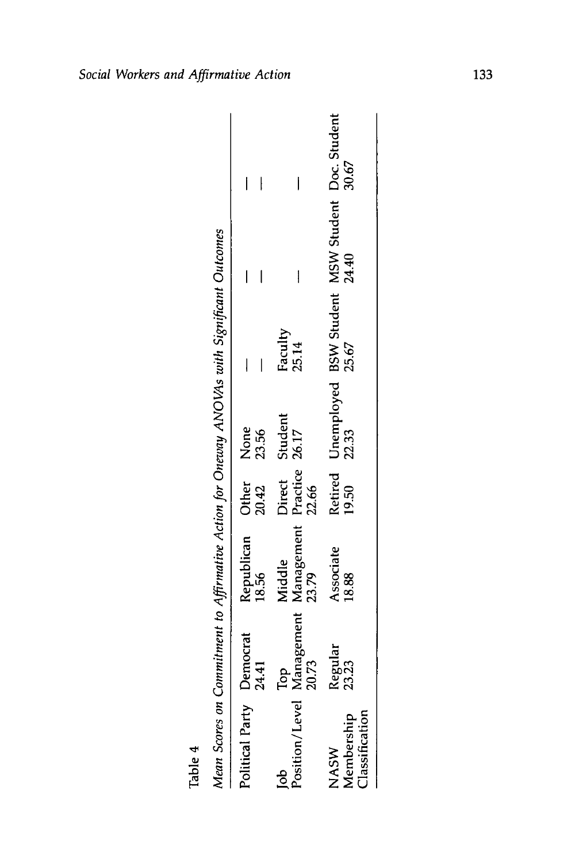| Faculty<br>25.14<br>ob<br>Position/Level Management Management Practice 26.17<br>20.73<br>20.73<br>23.79<br>22.66<br>Republican Other None<br>18.56 20.42 23.56<br>Associate<br>18.88<br>Jitical Party Democrat<br>24.41<br>Regular<br>23.23<br><b>Aembership</b><br>VASW | Retired Unemployed BSW Student MSW Student Doc. Student<br>19.50 22.33 25.67 25.64<br>I<br>۱ |
|---------------------------------------------------------------------------------------------------------------------------------------------------------------------------------------------------------------------------------------------------------------------------|----------------------------------------------------------------------------------------------|
| <b>Ilassification</b>                                                                                                                                                                                                                                                     |                                                                                              |

Mean Scores on Commitment to Affirmative Action for Oneway ANOVAs with Significant Outcomes

Table 4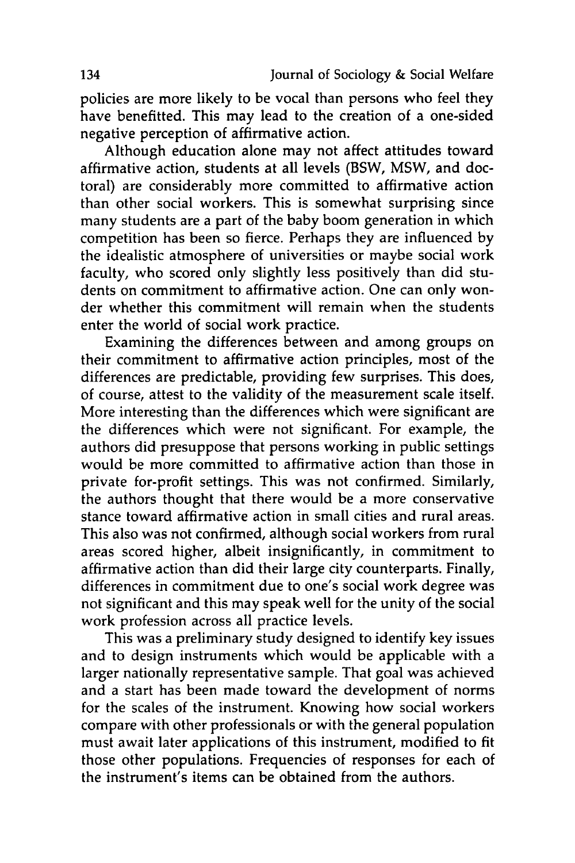policies are more likely to be vocal than persons who feel they have benefitted. This may lead to the creation of a one-sided negative perception of affirmative action.

Although education alone may not affect attitudes toward affirmative action, students at all levels (BSW, MSW, and doctoral) are considerably more committed to affirmative action than other social workers. This is somewhat surprising since many students are a part of the baby boom generation in which competition has been so fierce. Perhaps they are influenced **by** the idealistic atmosphere of universities or maybe social work faculty, who scored only slightly less positively than did students on commitment to affirmative action. One can only wonder whether this commitment will remain when the students enter the world of social work practice.

Examining the differences between and among groups on their commitment to affirmative action principles, most of the differences are predictable, providing few surprises. This does, of course, attest to the validity of the measurement scale itself. More interesting than the differences which were significant are the differences which were not significant. For example, the authors did presuppose that persons working in public settings would be more committed to affirmative action than those in private for-profit settings. This was not confirmed. Similarly, the authors thought that there would be a more conservative stance toward affirmative action in small cities and rural areas. This also was not confirmed, although social workers from rural areas scored higher, albeit insignificantly, in commitment to affirmative action than did their large city counterparts. Finally, differences in commitment due to one's social work degree was not significant and this may speak well for the unity of the social work profession across all practice levels.

This was a preliminary study designed to identify key issues and to design instruments which would be applicable with a larger nationally representative sample. That goal was achieved and a start has been made toward the development of norms for the scales of the instrument. Knowing how social workers compare with other professionals or with the general population must await later applications of this instrument, modified to fit those other populations. Frequencies of responses for each of the instrument's items can be obtained from the authors.